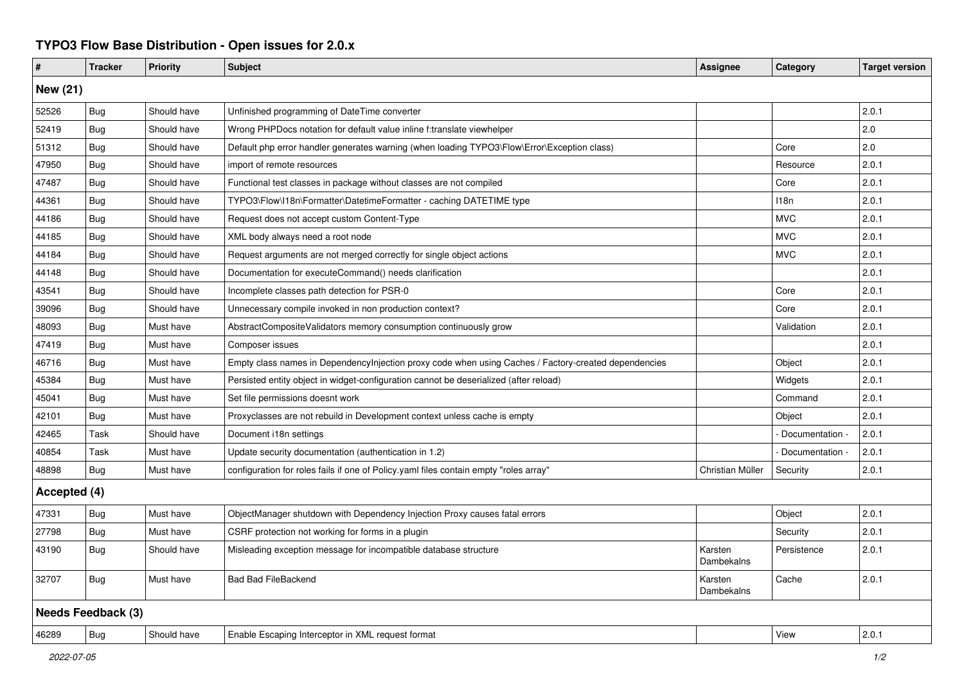## **TYPO3 Flow Base Distribution - Open issues for 2.0.x**

| #                         | <b>Tracker</b> | <b>Priority</b> | <b>Subject</b>                                                                                       | <b>Assignee</b>       | Category        | <b>Target version</b> |  |  |  |
|---------------------------|----------------|-----------------|------------------------------------------------------------------------------------------------------|-----------------------|-----------------|-----------------------|--|--|--|
| <b>New (21)</b>           |                |                 |                                                                                                      |                       |                 |                       |  |  |  |
| 52526                     | Bug            | Should have     | Unfinished programming of DateTime converter                                                         |                       |                 | 2.0.1                 |  |  |  |
| 52419                     | Bug            | Should have     | Wrong PHPDocs notation for default value inline f:translate viewhelper                               |                       |                 | 2.0                   |  |  |  |
| 51312                     | <b>Bug</b>     | Should have     | Default php error handler generates warning (when loading TYPO3\Flow\Error\Exception class)          |                       | Core            | 2.0                   |  |  |  |
| 47950                     | Bug            | Should have     | import of remote resources                                                                           |                       | Resource        | 2.0.1                 |  |  |  |
| 47487                     | Bug            | Should have     | Functional test classes in package without classes are not compiled                                  |                       | Core            | 2.0.1                 |  |  |  |
| 44361                     | Bug            | Should have     | TYPO3\Flow\I18n\Formatter\DatetimeFormatter - caching DATETIME type                                  |                       | 118n            | 2.0.1                 |  |  |  |
| 44186                     | Bug            | Should have     | Request does not accept custom Content-Type                                                          |                       | <b>MVC</b>      | 2.0.1                 |  |  |  |
| 44185                     | Bug            | Should have     | XML body always need a root node                                                                     |                       | <b>MVC</b>      | 2.0.1                 |  |  |  |
| 44184                     | Bug            | Should have     | Request arguments are not merged correctly for single object actions                                 |                       | <b>MVC</b>      | 2.0.1                 |  |  |  |
| 44148                     | Bug            | Should have     | Documentation for executeCommand() needs clarification                                               |                       |                 | 2.0.1                 |  |  |  |
| 43541                     | <b>Bug</b>     | Should have     | Incomplete classes path detection for PSR-0                                                          |                       | Core            | 2.0.1                 |  |  |  |
| 39096                     | <b>Bug</b>     | Should have     | Unnecessary compile invoked in non production context?                                               |                       | Core            | 2.0.1                 |  |  |  |
| 48093                     | <b>Bug</b>     | Must have       | AbstractCompositeValidators memory consumption continuously grow                                     |                       | Validation      | 2.0.1                 |  |  |  |
| 47419                     | <b>Bug</b>     | Must have       | Composer issues                                                                                      |                       |                 | 2.0.1                 |  |  |  |
| 46716                     | <b>Bug</b>     | Must have       | Empty class names in Dependencylnjection proxy code when using Caches / Factory-created dependencies |                       | Object          | 2.0.1                 |  |  |  |
| 45384                     | Bug            | Must have       | Persisted entity object in widget-configuration cannot be deserialized (after reload)                |                       | Widgets         | 2.0.1                 |  |  |  |
| 45041                     | <b>Bug</b>     | Must have       | Set file permissions doesnt work                                                                     |                       | Command         | 2.0.1                 |  |  |  |
| 42101                     | <b>Bug</b>     | Must have       | Proxyclasses are not rebuild in Development context unless cache is empty                            |                       | Object          | 2.0.1                 |  |  |  |
| 42465                     | Task           | Should have     | Document i18n settings                                                                               |                       | Documentation - | 2.0.1                 |  |  |  |
| 40854                     | Task           | Must have       | Update security documentation (authentication in 1.2)                                                |                       | Documentation   | 2.0.1                 |  |  |  |
| 48898                     | Bug            | Must have       | configuration for roles fails if one of Policy yaml files contain empty "roles array"                | Christian Müller      | Security        | 2.0.1                 |  |  |  |
| Accepted (4)              |                |                 |                                                                                                      |                       |                 |                       |  |  |  |
| 47331                     | Bug            | Must have       | ObjectManager shutdown with Dependency Injection Proxy causes fatal errors                           |                       | Object          | 2.0.1                 |  |  |  |
| 27798                     | <b>Bug</b>     | Must have       | CSRF protection not working for forms in a plugin                                                    |                       | Security        | 2.0.1                 |  |  |  |
| 43190                     | Bug            | Should have     | Misleading exception message for incompatible database structure                                     | Karsten<br>Dambekalns | Persistence     | 2.0.1                 |  |  |  |
| 32707                     | <b>Bug</b>     | Must have       | <b>Bad Bad FileBackend</b>                                                                           | Karsten<br>Dambekalns | Cache           | 2.0.1                 |  |  |  |
| <b>Needs Feedback (3)</b> |                |                 |                                                                                                      |                       |                 |                       |  |  |  |
| 46289                     | Bug            | Should have     | Enable Escaping Interceptor in XML request format                                                    |                       | View            | 2.0.1                 |  |  |  |